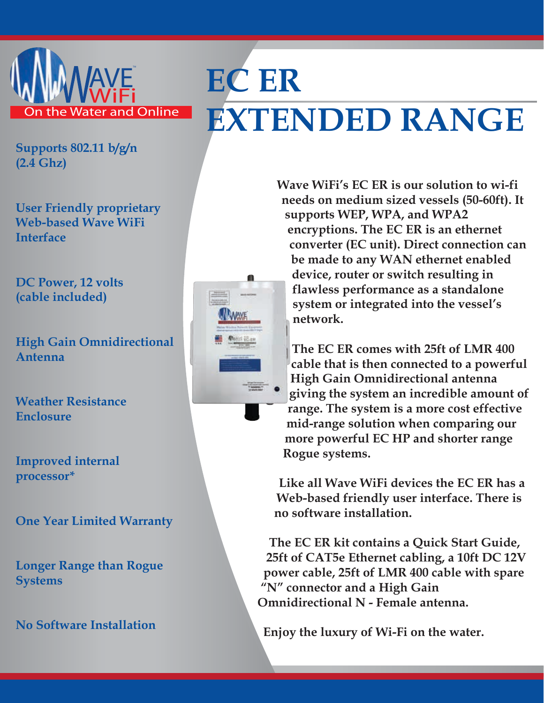

## **EC ER EXTENDED RANGE**

**Supports 802.11 b/g/n (2.4 Ghz)**

**User Friendly proprietary Web-based Wave WiFi Interface**

**DC Power, 12 volts (cable included)**

**High Gain Omnidirectional Antenna**

**Weather Resistance Enclosure**

**Improved internal processor\***

**One Year Limited Warranty**

**Longer Range than Rogue Systems**

**No Software Installation**



**Wave WiFi's EC ER is our solution to wi-fi needs on medium sized vessels (50-60ft). It supports WEP, WPA, and WPA2 encryptions. The EC ER is an ethernet converter (EC unit). Direct connection can be made to any WAN ethernet enabled device, router or switch resulting in flawless performance as a standalone system or integrated into the vessel's network.** 

**The EC ER comes with 25ft of LMR 400 cable that is then connected to a powerful High Gain Omnidirectional antenna giving the system an incredible amount of range. The system is a more cost effective mid-range solution when comparing our more powerful EC HP and shorter range Rogue systems.**

**Like all Wave WiFi devices the EC ER has a Web-based friendly user interface. There is no software installation.**

**The EC ER kit contains a Quick Start Guide, 25ft of CAT5e Ethernet cabling, a 10ft DC 12V power cable, 25ft of LMR 400 cable with spare "N" connector and a High Gain Omnidirectional N - Female antenna.**

**Enjoy the luxury of Wi-Fi on the water.**